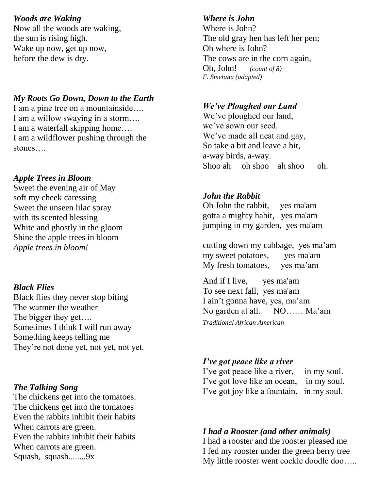### *Woods are Waking*

Now all the woods are waking, the sun is rising high. Wake up now, get up now, before the dew is dry.

## *My Roots Go Down, Down to the Earth*

I am a pine tree on a mountainside…. I am a willow swaying in a storm…. I am a waterfall skipping home…. I am a wildflower pushing through the stones….

## *Apple Trees in Bloom*

Sweet the evening air of May soft my cheek caressing Sweet the unseen lilac spray with its scented blessing White and ghostly in the gloom Shine the apple trees in bloom *Apple trees in bloom!*

### *Black Flies*

Black flies they never stop biting The warmer the weather The bigger they get…. Sometimes I think I will run away Something keeps telling me They're not done yet, not yet, not yet.

### *The Talking Song*

The chickens get into the tomatoes. The chickens get into the tomatoes Even the rabbits inhibit their habits When carrots are green. Even the rabbits inhibit their habits When carrots are green. Squash, squash........9x

### *Where is John*

Where is John? The old gray hen has left her pen; Oh where is John? The cows are in the corn again, Oh, John! *(count of 8) F. Smetana (adapted)*

## *We've Ploughed our Land*

We've ploughed our land, we've sown our seed. We've made all neat and gay, So take a bit and leave a bit, a-way birds, a-way. Shoo ah oh shoo ah shoo oh.

## *John the Rabbit*

Oh John the rabbit, yes ma'am gotta a mighty habit, yes ma'am jumping in my garden, yes ma'am

cutting down my cabbage, yes ma'am my sweet potatoes, yes ma'am My fresh tomatoes, yes ma'am

And if I live, yes ma'am To see next fall, yes ma'am I ain't gonna have, yes, ma'am No garden at all. NO…… Ma'am *Traditional African American*

## *I've got peace like a river*

I've got peace like a river, in my soul. I've got love like an ocean, in my soul. I've got joy like a fountain, in my soul.

## *I had a Rooster (and other animals)*

I had a rooster and the rooster pleased me I fed my rooster under the green berry tree My little rooster went cockle doodle doo…..